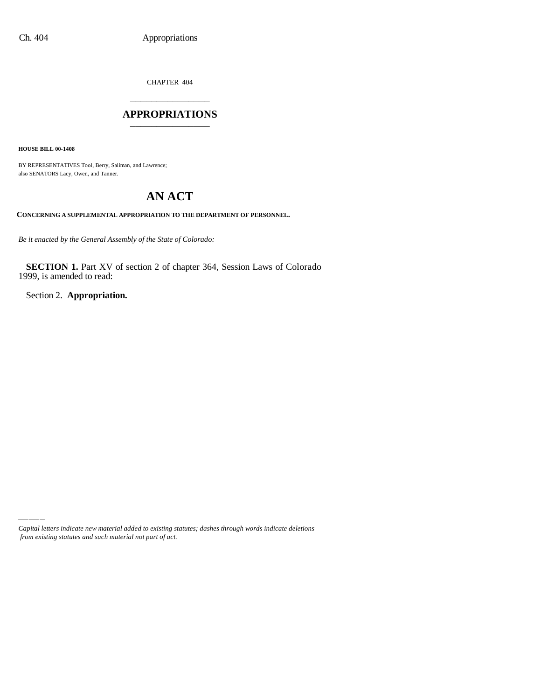CHAPTER 404 \_\_\_\_\_\_\_\_\_\_\_\_\_\_\_

### **APPROPRIATIONS** \_\_\_\_\_\_\_\_\_\_\_\_\_\_\_

**HOUSE BILL 00-1408**

BY REPRESENTATIVES Tool, Berry, Saliman, and Lawrence; also SENATORS Lacy, Owen, and Tanner.

# **AN ACT**

**CONCERNING A SUPPLEMENTAL APPROPRIATION TO THE DEPARTMENT OF PERSONNEL.**

*Be it enacted by the General Assembly of the State of Colorado:*

**SECTION 1.** Part XV of section 2 of chapter 364, Session Laws of Colorado 1999, is amended to read:

Section 2. **Appropriation.**

*Capital letters indicate new material added to existing statutes; dashes through words indicate deletions from existing statutes and such material not part of act.*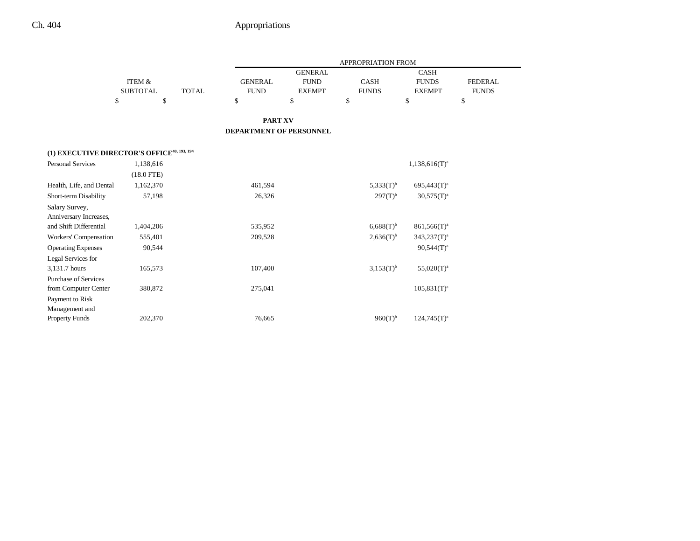|                                                         |                                 |  | APPROPRIATION FROM      |                |                       |                  |                |
|---------------------------------------------------------|---------------------------------|--|-------------------------|----------------|-----------------------|------------------|----------------|
|                                                         |                                 |  |                         | <b>GENERAL</b> |                       | <b>CASH</b>      |                |
|                                                         | ITEM &                          |  | <b>GENERAL</b>          | <b>FUND</b>    | <b>CASH</b>           | <b>FUNDS</b>     | <b>FEDERAL</b> |
|                                                         | <b>TOTAL</b><br><b>SUBTOTAL</b> |  | <b>FUND</b>             | <b>EXEMPT</b>  | <b>FUNDS</b>          | <b>EXEMPT</b>    | <b>FUNDS</b>   |
|                                                         | \$<br>\$                        |  | \$                      | \$             | \$                    | \$               | \$             |
|                                                         |                                 |  | <b>PART XV</b>          |                |                       |                  |                |
|                                                         |                                 |  | DEPARTMENT OF PERSONNEL |                |                       |                  |                |
| (1) EXECUTIVE DIRECTOR'S OFFICE <sup>40, 193, 194</sup> |                                 |  |                         |                |                       |                  |                |
| <b>Personal Services</b>                                | 1,138,616                       |  |                         |                |                       | $1,138,616(T)^a$ |                |
|                                                         | $(18.0$ FTE)                    |  |                         |                |                       |                  |                |
| Health, Life, and Dental                                | 1,162,370                       |  | 461,594                 |                | $5,333(T)^{b}$        | $695,443(T)^{a}$ |                |
| Short-term Disability                                   | 57,198                          |  | 26,326                  |                | $297(T)^{b}$          | $30,575(T)^{a}$  |                |
| Salary Survey,                                          |                                 |  |                         |                |                       |                  |                |
| Anniversary Increases,                                  |                                 |  |                         |                |                       |                  |                |
| and Shift Differential                                  | 1,404,206                       |  | 535,952                 |                | $6,688(T)^{b}$        | $861,566(T)^a$   |                |
| Workers' Compensation                                   | 555,401                         |  | 209,528                 |                | $2,636(T)^{b}$        | $343,237(T)^a$   |                |
| <b>Operating Expenses</b>                               | 90,544                          |  |                         |                |                       | $90,544(T)^a$    |                |
| Legal Services for                                      |                                 |  |                         |                |                       |                  |                |
| 3,131.7 hours                                           | 165,573                         |  | 107,400                 |                | $3,153(T)^{b}$        | $55,020(T)^a$    |                |
| <b>Purchase of Services</b>                             |                                 |  |                         |                |                       |                  |                |
| from Computer Center                                    | 380,872                         |  | 275,041                 |                |                       | $105,831(T)^{a}$ |                |
| Payment to Risk                                         |                                 |  |                         |                |                       |                  |                |
| Management and                                          |                                 |  |                         |                |                       |                  |                |
| <b>Property Funds</b>                                   | 202,370                         |  | 76,665                  |                | $960(T)$ <sup>b</sup> | $124,745(T)^{a}$ |                |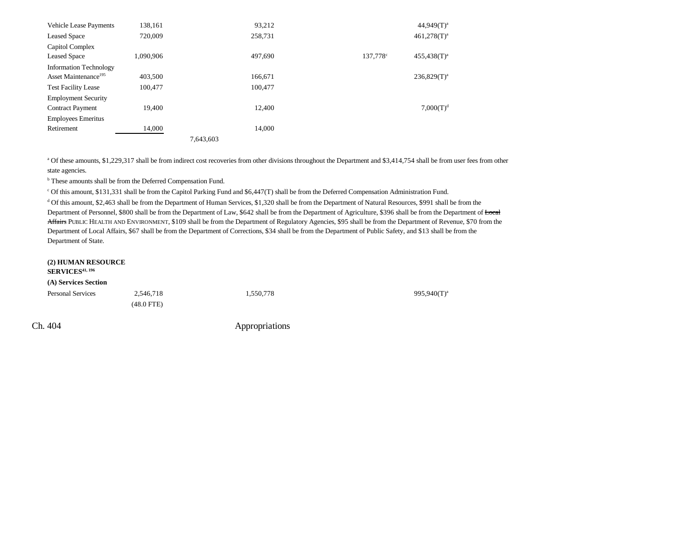| <b>Vehicle Lease Payments</b>    | 138.161   | 93,212    |                      | $44,949(T)^a$    |
|----------------------------------|-----------|-----------|----------------------|------------------|
| <b>Leased Space</b>              | 720,009   | 258,731   |                      | $461,278(T)^{a}$ |
| Capitol Complex                  |           |           |                      |                  |
| <b>Leased Space</b>              | 1,090,906 | 497.690   | 137,778 <sup>c</sup> | $455,438(T)^{a}$ |
| <b>Information Technology</b>    |           |           |                      |                  |
| Asset Maintenance <sup>195</sup> | 403.500   | 166.671   |                      | $236,829(T)^a$   |
| <b>Test Facility Lease</b>       | 100.477   | 100,477   |                      |                  |
| <b>Employment Security</b>       |           |           |                      |                  |
| <b>Contract Payment</b>          | 19.400    | 12,400    |                      | $7,000(T)^d$     |
| <b>Employees Emeritus</b>        |           |           |                      |                  |
| Retirement                       | 14,000    | 14,000    |                      |                  |
|                                  |           | 7,643,603 |                      |                  |

<sup>a</sup> Of these amounts, \$1,229,317 shall be from indirect cost recoveries from other divisions throughout the Department and \$3,414,754 shall be from user fees from other state agencies.

b These amounts shall be from the Deferred Compensation Fund.

c Of this amount, \$131,331 shall be from the Capitol Parking Fund and \$6,447(T) shall be from the Deferred Compensation Administration Fund.

d Of this amount, \$2,463 shall be from the Department of Human Services, \$1,320 shall be from the Department of Natural Resources, \$991 shall be from the Department of Personnel, \$800 shall be from the Department of Law, \$642 shall be from the Department of Agriculture, \$396 shall be from the Department of Local Affairs PUBLIC HEALTH AND ENVIRONMENT, \$109 shall be from the Department of Regulatory Agencies, \$95 shall be from the Department of Revenue, \$70 from the Department of Local Affairs, \$67 shall be from the Department of Corrections, \$34 shall be from the Department of Public Safety, and \$13 shall be from the Department of State.

| (2) HUMAN RESOURCE<br>SERVICES <sup>41, 196</sup> |              |           |                |
|---------------------------------------------------|--------------|-----------|----------------|
| (A) Services Section                              |              |           |                |
| <b>Personal Services</b>                          | 2,546,718    | 1,550,778 | $995,940(T)^3$ |
|                                                   | $(48.0$ FTE) |           |                |
|                                                   |              |           |                |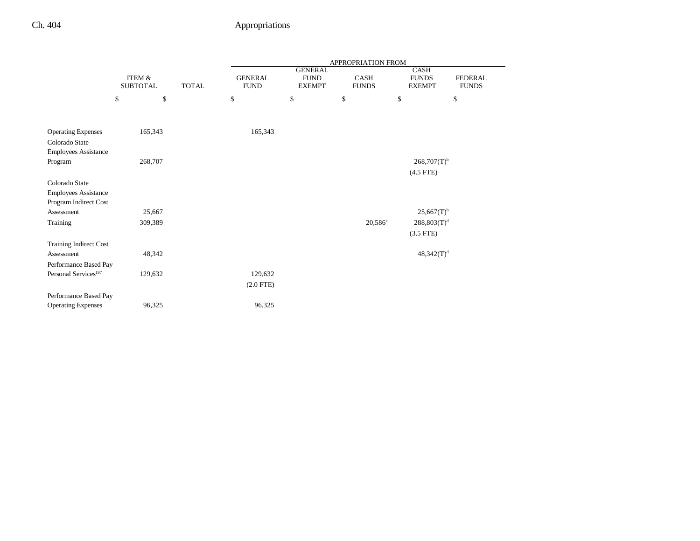|                                             |                           |              | <b>APPROPRIATION FROM</b>     |                                                |                      |                                              |                                |  |
|---------------------------------------------|---------------------------|--------------|-------------------------------|------------------------------------------------|----------------------|----------------------------------------------|--------------------------------|--|
|                                             | ITEM &<br><b>SUBTOTAL</b> | <b>TOTAL</b> | <b>GENERAL</b><br><b>FUND</b> | <b>GENERAL</b><br><b>FUND</b><br><b>EXEMPT</b> | CASH<br><b>FUNDS</b> | <b>CASH</b><br><b>FUNDS</b><br><b>EXEMPT</b> | <b>FEDERAL</b><br><b>FUNDS</b> |  |
|                                             | \$<br>\$                  |              | \$                            | \$                                             | \$                   | \$                                           | \$                             |  |
|                                             |                           |              |                               |                                                |                      |                                              |                                |  |
| <b>Operating Expenses</b><br>Colorado State | 165,343                   |              | 165,343                       |                                                |                      |                                              |                                |  |
| <b>Employees Assistance</b>                 |                           |              |                               |                                                |                      |                                              |                                |  |
| Program                                     | 268,707                   |              |                               |                                                |                      | $268,707(T)$ <sup>b</sup>                    |                                |  |
|                                             |                           |              |                               |                                                |                      | $(4.5$ FTE)                                  |                                |  |
| Colorado State                              |                           |              |                               |                                                |                      |                                              |                                |  |
| <b>Employees Assistance</b>                 |                           |              |                               |                                                |                      |                                              |                                |  |
| Program Indirect Cost<br>Assessment         | 25,667                    |              |                               |                                                |                      | $25,667(T)^{b}$                              |                                |  |
| Training                                    | 309,389                   |              |                               |                                                | $20,586^{\circ}$     | 288,803(T) <sup>d</sup>                      |                                |  |
|                                             |                           |              |                               |                                                |                      | $(3.5$ FTE)                                  |                                |  |
| <b>Training Indirect Cost</b>               |                           |              |                               |                                                |                      |                                              |                                |  |
| Assessment                                  | 48,342                    |              |                               |                                                |                      | $48,342(T)^{d}$                              |                                |  |
| Performance Based Pay                       |                           |              |                               |                                                |                      |                                              |                                |  |
| Personal Services <sup>197</sup>            | 129,632                   |              | 129,632                       |                                                |                      |                                              |                                |  |
|                                             |                           |              | $(2.0$ FTE)                   |                                                |                      |                                              |                                |  |
| Performance Based Pay                       |                           |              |                               |                                                |                      |                                              |                                |  |
| <b>Operating Expenses</b>                   | 96,325                    |              | 96,325                        |                                                |                      |                                              |                                |  |
|                                             |                           |              |                               |                                                |                      |                                              |                                |  |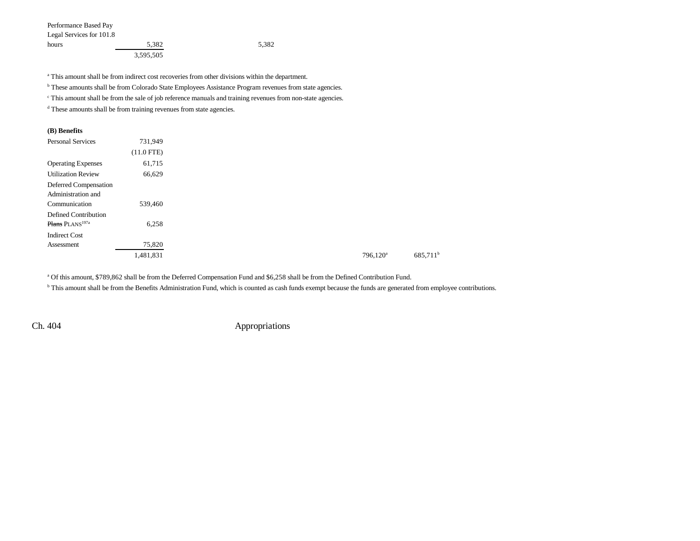| Performance Based Pay    |           |       |
|--------------------------|-----------|-------|
| Legal Services for 101.8 |           |       |
| hours                    | 5.382     | 5.382 |
|                          | 3.595.505 |       |

<sup>a</sup> This amount shall be from indirect cost recoveries from other divisions within the department.

**b** These amounts shall be from Colorado State Employees Assistance Program revenues from state agencies.

<sup>c</sup> This amount shall be from the sale of job reference manuals and training revenues from non-state agencies.

d These amounts shall be from training revenues from state agencies.

#### **(B) Benefits**

| <b>Personal Services</b>    | 731,949      |
|-----------------------------|--------------|
|                             | $(11.0$ FTE) |
| <b>Operating Expenses</b>   | 61,715       |
| <b>Utilization Review</b>   | 66,629       |
| Deferred Compensation       |              |
| Administration and          |              |
| Communication               | 539,460      |
| Defined Contribution        |              |
| Plans PLANS <sup>197a</sup> | 6,258        |
| <b>Indirect Cost</b>        |              |
| Assessment                  | 75,820       |
|                             | 1,481,831    |

a Of this amount, \$789,862 shall be from the Deferred Compensation Fund and \$6,258 shall be from the Defined Contribution Fund.

<sup>b</sup> This amount shall be from the Benefits Administration Fund, which is counted as cash funds exempt because the funds are generated from employee contributions.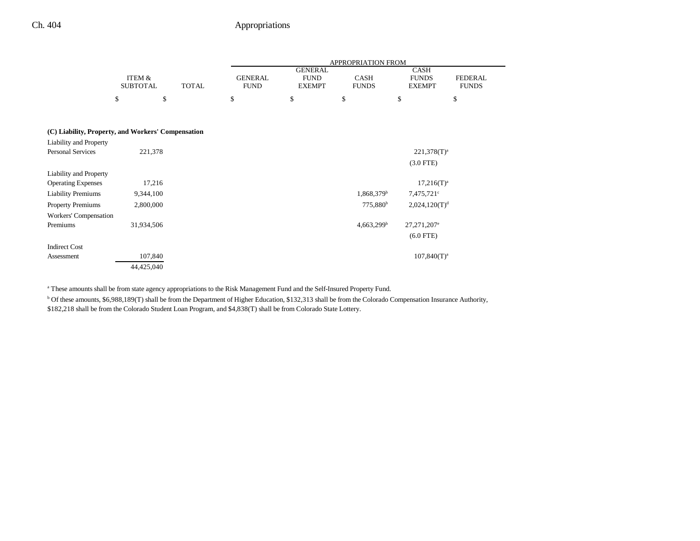$\overline{\phantom{a}}$ 

|                                                    |                                              |  | APPROPRIATION FROM            |                                                |                             |                           |                                |  |
|----------------------------------------------------|----------------------------------------------|--|-------------------------------|------------------------------------------------|-----------------------------|---------------------------|--------------------------------|--|
|                                                    | ITEM $\&$<br><b>SUBTOTAL</b><br><b>TOTAL</b> |  | <b>GENERAL</b><br><b>FUND</b> | <b>GENERAL</b><br><b>FUND</b><br><b>EXEMPT</b> | <b>CASH</b><br><b>FUNDS</b> |                           | <b>FEDERAL</b><br><b>FUNDS</b> |  |
|                                                    | \$<br>\$                                     |  | \$                            | \$                                             | \$                          | \$                        | \$                             |  |
| (C) Liability, Property, and Workers' Compensation |                                              |  |                               |                                                |                             |                           |                                |  |
| Liability and Property                             |                                              |  |                               |                                                |                             |                           |                                |  |
| <b>Personal Services</b><br>221,378                |                                              |  |                               |                                                |                             | $221,378(T)^{a}$          |                                |  |
|                                                    |                                              |  |                               |                                                |                             | $(3.0$ FTE)               |                                |  |
| Liability and Property                             |                                              |  |                               |                                                |                             |                           |                                |  |
| <b>Operating Expenses</b>                          | 17,216                                       |  |                               |                                                |                             | $17,216(T)^a$             |                                |  |
| <b>Liability Premiums</b>                          | 9,344,100                                    |  |                               |                                                | 1,868,379 <sup>b</sup>      | 7,475,721 <sup>c</sup>    |                                |  |
| <b>Property Premiums</b>                           | 2,800,000                                    |  |                               |                                                | 775,880 <sup>b</sup>        | 2,024,120(T) <sup>d</sup> |                                |  |
| Workers' Compensation                              |                                              |  |                               |                                                |                             |                           |                                |  |
| Premiums                                           | 31,934,506                                   |  |                               |                                                | $4,663,299$ <sup>b</sup>    | 27,271,207 <sup>e</sup>   |                                |  |
|                                                    |                                              |  |                               |                                                |                             | $(6.0$ FTE)               |                                |  |
| <b>Indirect Cost</b>                               |                                              |  |                               |                                                |                             |                           |                                |  |
| Assessment                                         | 107,840                                      |  |                               |                                                |                             | $107,840(T)^a$            |                                |  |
|                                                    | 44,425,040                                   |  |                               |                                                |                             |                           |                                |  |

a These amounts shall be from state agency appropriations to the Risk Management Fund and the Self-Insured Property Fund.

b Of these amounts, \$6,988,189(T) shall be from the Department of Higher Education, \$132,313 shall be from the Colorado Compensation Insurance Authority, \$182,218 shall be from the Colorado Student Loan Program, and \$4,838(T) shall be from Colorado State Lottery.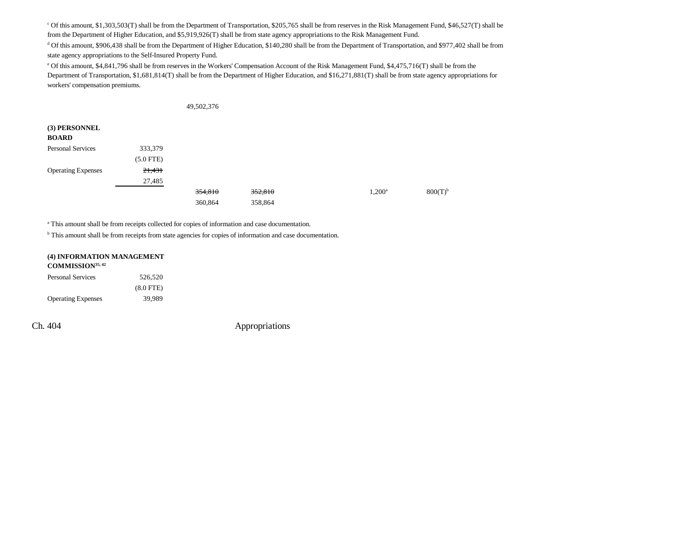c Of this amount, \$1,303,503(T) shall be from the Department of Transportation, \$205,765 shall be from reserves in the Risk Management Fund, \$46,527(T) shall be from the Department of Higher Education, and \$5,919,926(T) shall be from state agency appropriations to the Risk Management Fund.

d Of this amount, \$906,438 shall be from the Department of Higher Education, \$140,280 shall be from the Department of Transportation, and \$977,402 shall be from state agency appropriations to the Self-Insured Property Fund.

e Of this amount, \$4,841,796 shall be from reserves in the Workers' Compensation Account of the Risk Management Fund, \$4,475,716(T) shall be from the Department of Transportation, \$1,681,814(T) shall be from the Department of Higher Education, and \$16,271,881(T) shall be from state agency appropriations for workers' compensation premiums.

| 49,502,376 |
|------------|
|------------|

# **(3) PERSONNEL**

| <b>BOARD</b>              |             |         |         |           |                     |
|---------------------------|-------------|---------|---------|-----------|---------------------|
| <b>Personal Services</b>  | 333,379     |         |         |           |                     |
|                           | $(5.0$ FTE) |         |         |           |                     |
| <b>Operating Expenses</b> | 21,431      |         |         |           |                     |
|                           | 27,485      |         |         |           |                     |
|                           |             | 354,810 | 352,810 | $1,200^a$ | 800(T) <sup>b</sup> |
|                           |             | 360,864 | 358,864 |           |                     |

<sup>a</sup> This amount shall be from receipts collected for copies of information and case documentation.

b This amount shall be from receipts from state agencies for copies of information and case documentation.

| (4) INFORMATION MANAGEMENT  |
|-----------------------------|
| COMMISSION <sup>35,42</sup> |

| <b>Personal Services</b>  | 526,520     |
|---------------------------|-------------|
|                           | $(8.0$ FTE) |
| <b>Operating Expenses</b> | 39.989      |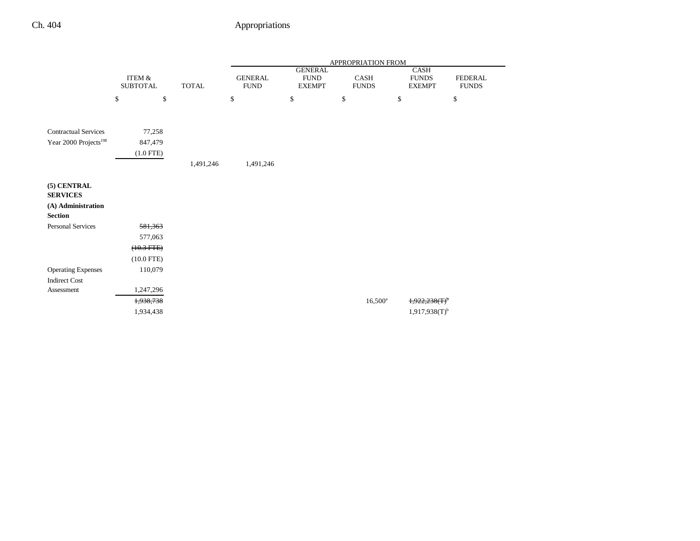|                                                                        |                                                    |              | APPROPRIATION FROM            |                                                |                      |                                                   |                                |
|------------------------------------------------------------------------|----------------------------------------------------|--------------|-------------------------------|------------------------------------------------|----------------------|---------------------------------------------------|--------------------------------|
|                                                                        | ITEM &<br><b>SUBTOTAL</b>                          | <b>TOTAL</b> | <b>GENERAL</b><br><b>FUND</b> | <b>GENERAL</b><br><b>FUND</b><br><b>EXEMPT</b> | CASH<br><b>FUNDS</b> | CASH<br><b>FUNDS</b><br><b>EXEMPT</b>             | <b>FEDERAL</b><br><b>FUNDS</b> |
|                                                                        | \$<br>\$                                           |              | $\mathbb{S}$                  | \$                                             | \$                   | \$                                                | \$                             |
| <b>Contractual Services</b><br>Year 2000 Projects <sup>198</sup>       | 77,258<br>847,479<br>$(1.0$ FTE)                   | 1,491,246    | 1,491,246                     |                                                |                      |                                                   |                                |
| (5) CENTRAL<br><b>SERVICES</b><br>(A) Administration<br><b>Section</b> |                                                    |              |                               |                                                |                      |                                                   |                                |
| <b>Personal Services</b>                                               | 581,363<br>577,063<br>$(10.3 FTE)$<br>$(10.0$ FTE) |              |                               |                                                |                      |                                                   |                                |
| <b>Operating Expenses</b><br><b>Indirect Cost</b><br>Assessment        | 110,079<br>1,247,296<br>1,938,738<br>1,934,438     |              |                               |                                                | $16,500^{\rm a}$     | $+922,238$ (T) <sup>b</sup><br>$1,917,938(T)^{b}$ |                                |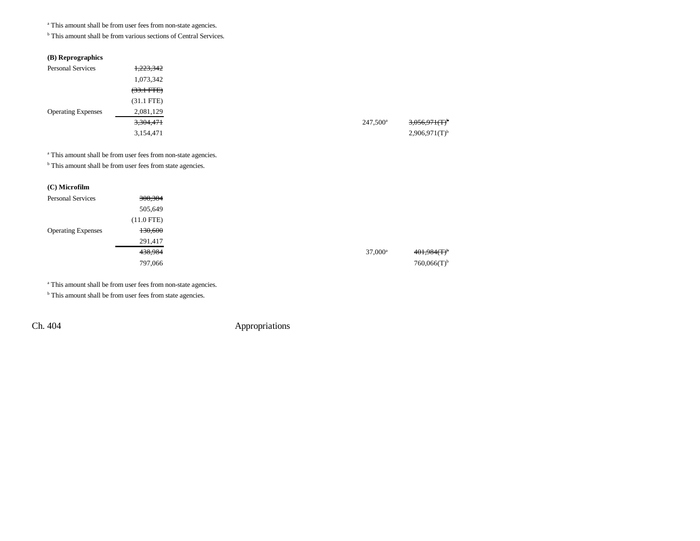a This amount shall be from user fees from non-state agencies.

b This amount shall be from various sections of Central Services.

## **(B) Reprographics**

| <b>Personal Services</b>  | 1,223,342            |  |                   |                             |
|---------------------------|----------------------|--|-------------------|-----------------------------|
|                           | 1,073,342            |  |                   |                             |
|                           | $(33.1 \text{ FFE})$ |  |                   |                             |
|                           | $(31.1$ FTE)         |  |                   |                             |
| <b>Operating Expenses</b> | 2,081,129            |  |                   |                             |
|                           | 3,304,471            |  | $247,500^{\circ}$ | $3,056,971(T)$ <sup>b</sup> |
|                           | 3,154,471            |  |                   | $2,906,971(T)$ <sup>b</sup> |

a This amount shall be from user fees from non-state agencies.

 $<sup>b</sup>$  This amount shall be from user fees from state agencies.</sup>

| (C) Microfilm             |              |
|---------------------------|--------------|
| <b>Personal Services</b>  | 308,384      |
|                           | 505,649      |
|                           | $(11.0$ FTE) |
| <b>Operating Expenses</b> | 130,600      |
|                           | 291,417      |
|                           | 438,984      |
|                           | 797,066      |

<sup>a</sup> This amount shall be from user fees from non-state agencies.

 $^{\rm b}$  This amount shall be from user fees from state agencies.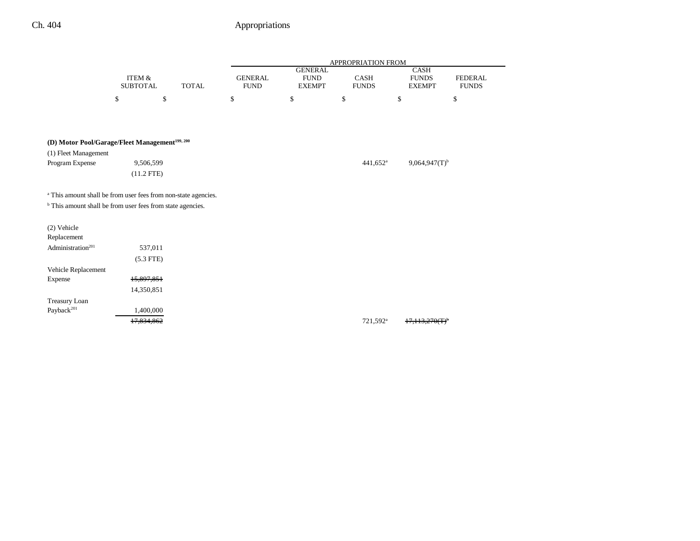|                                                                           |                                      |              |              |                               |                                                | APPROPRIATION FROM     |                                       |                                |
|---------------------------------------------------------------------------|--------------------------------------|--------------|--------------|-------------------------------|------------------------------------------------|------------------------|---------------------------------------|--------------------------------|
|                                                                           | <b>ITEM &amp;</b><br><b>SUBTOTAL</b> |              | <b>TOTAL</b> | <b>GENERAL</b><br><b>FUND</b> | <b>GENERAL</b><br><b>FUND</b><br><b>EXEMPT</b> | CASH<br><b>FUNDS</b>   | CASH<br><b>FUNDS</b><br><b>EXEMPT</b> | <b>FEDERAL</b><br><b>FUNDS</b> |
|                                                                           | \$                                   | \$           |              | \$                            | \$                                             | \$                     | \$                                    | \$                             |
|                                                                           |                                      |              |              |                               |                                                |                        |                                       |                                |
| (D) Motor Pool/Garage/Fleet Management <sup>199, 200</sup>                |                                      |              |              |                               |                                                |                        |                                       |                                |
| (1) Fleet Management                                                      |                                      |              |              |                               |                                                |                        |                                       |                                |
| Program Expense                                                           |                                      | 9,506,599    |              |                               |                                                | $441,652$ <sup>a</sup> | $9,064,947(T)$ <sup>b</sup>           |                                |
|                                                                           |                                      | $(11.2$ FTE) |              |                               |                                                |                        |                                       |                                |
| <sup>a</sup> This amount shall be from user fees from non-state agencies. |                                      |              |              |                               |                                                |                        |                                       |                                |
| <sup>b</sup> This amount shall be from user fees from state agencies.     |                                      |              |              |                               |                                                |                        |                                       |                                |
| (2) Vehicle                                                               |                                      |              |              |                               |                                                |                        |                                       |                                |
| Replacement                                                               |                                      |              |              |                               |                                                |                        |                                       |                                |
| Administration <sup>201</sup>                                             |                                      | 537,011      |              |                               |                                                |                        |                                       |                                |
|                                                                           |                                      | $(5.3$ FTE)  |              |                               |                                                |                        |                                       |                                |
| Vehicle Replacement                                                       |                                      |              |              |                               |                                                |                        |                                       |                                |
| Expense                                                                   |                                      | 15,897,851   |              |                               |                                                |                        |                                       |                                |
|                                                                           |                                      | 14,350,851   |              |                               |                                                |                        |                                       |                                |
| Treasury Loan                                                             |                                      |              |              |                               |                                                |                        |                                       |                                |
| $\mbox{Payback}^{201}$                                                    |                                      | 1,400,000    |              |                               |                                                |                        |                                       |                                |
|                                                                           |                                      | 17,834,862   |              |                               |                                                | 721,592 <sup>a</sup>   | 17,113,270(T) <sup>t</sup>            |                                |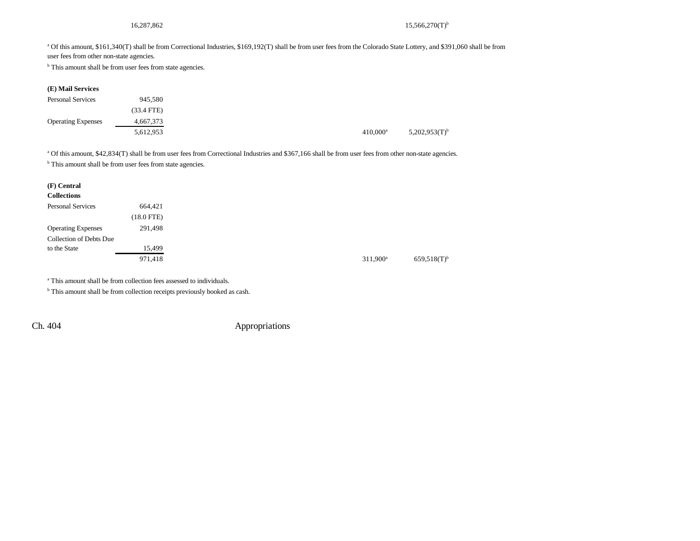#### 16,287,862 15,566,270(T)<sup>b</sup>

a Of this amount, \$161,340(T) shall be from Correctional Industries, \$169,192(T) shall be from user fees from the Colorado State Lottery, and \$391,060 shall be from user fees from other non-state agencies.

**b** This amount shall be from user fees from state agencies.

#### **(E) Mail Services**

| <b>Personal Services</b>  | 945.580      |             |  |  |  |  |                    |
|---------------------------|--------------|-------------|--|--|--|--|--------------------|
|                           | $(33.4$ FTE) |             |  |  |  |  |                    |
| <b>Operating Expenses</b> | 4,667,373    |             |  |  |  |  |                    |
|                           | 5,612,953    | $410,000^a$ |  |  |  |  | $5,202,953(T)^{b}$ |

a Of this amount, \$42,834(T) shall be from user fees from Correctional Industries and \$367,166 shall be from user fees from other non-state agencies.

**b** This amount shall be from user fees from state agencies.

| (F) Central<br><b>Collections</b> |              |
|-----------------------------------|--------------|
| <b>Personal Services</b>          | 664,421      |
|                                   | $(18.0$ FTE) |
| <b>Operating Expenses</b>         | 291,498      |
| Collection of Debts Due           |              |
| to the State                      | 15,499       |
|                                   | 971,418      |

a This amount shall be from collection fees assessed to individuals.

b This amount shall be from collection receipts previously booked as cash.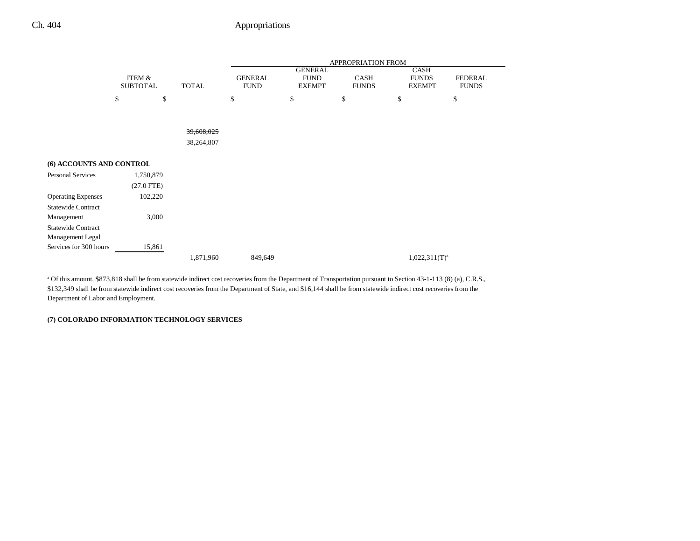|                           |                           |              | APPROPRIATION FROM            |                                                |                      |                                              |                                |
|---------------------------|---------------------------|--------------|-------------------------------|------------------------------------------------|----------------------|----------------------------------------------|--------------------------------|
|                           | ITEM &<br><b>SUBTOTAL</b> | <b>TOTAL</b> | <b>GENERAL</b><br><b>FUND</b> | <b>GENERAL</b><br><b>FUND</b><br><b>EXEMPT</b> | CASH<br><b>FUNDS</b> | <b>CASH</b><br><b>FUNDS</b><br><b>EXEMPT</b> | <b>FEDERAL</b><br><b>FUNDS</b> |
|                           | \$<br>\$                  |              | \$                            | \$                                             | \$                   | \$                                           | \$                             |
|                           |                           |              |                               |                                                |                      |                                              |                                |
|                           |                           | 39,608,025   |                               |                                                |                      |                                              |                                |
|                           |                           | 38,264,807   |                               |                                                |                      |                                              |                                |
|                           |                           |              |                               |                                                |                      |                                              |                                |
| (6) ACCOUNTS AND CONTROL  |                           |              |                               |                                                |                      |                                              |                                |
| <b>Personal Services</b>  | 1,750,879                 |              |                               |                                                |                      |                                              |                                |
|                           | $(27.0$ FTE)              |              |                               |                                                |                      |                                              |                                |
| <b>Operating Expenses</b> | 102,220                   |              |                               |                                                |                      |                                              |                                |
| <b>Statewide Contract</b> |                           |              |                               |                                                |                      |                                              |                                |
| Management                | 3,000                     |              |                               |                                                |                      |                                              |                                |
| <b>Statewide Contract</b> |                           |              |                               |                                                |                      |                                              |                                |
| Management Legal          |                           |              |                               |                                                |                      |                                              |                                |
| Services for 300 hours    | 15,861                    |              |                               |                                                |                      |                                              |                                |
|                           |                           | 1,871,960    | 849,649                       |                                                |                      | $1,022,311(T)^{a}$                           |                                |

 $\overline{\phantom{a}}$ 

a Of this amount, \$873,818 shall be from statewide indirect cost recoveries from the Department of Transportation pursuant to Section 43-1-113 (8) (a), C.R.S., \$132,349 shall be from statewide indirect cost recoveries from the Department of State, and \$16,144 shall be from statewide indirect cost recoveries from the Department of Labor and Employment.

**(7) COLORADO INFORMATION TECHNOLOGY SERVICES**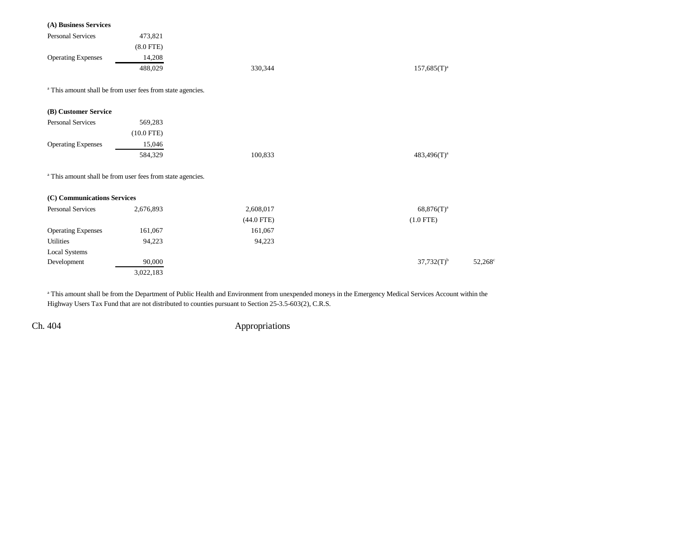| (A) Business Services       |                                                                       |              |                 |        |
|-----------------------------|-----------------------------------------------------------------------|--------------|-----------------|--------|
| <b>Personal Services</b>    | 473,821                                                               |              |                 |        |
|                             | $(8.0$ FTE $)$                                                        |              |                 |        |
| <b>Operating Expenses</b>   | 14,208                                                                |              |                 |        |
|                             | 488,029                                                               | 330,344      | $157,685(T)^a$  |        |
|                             | <sup>a</sup> This amount shall be from user fees from state agencies. |              |                 |        |
| (B) Customer Service        |                                                                       |              |                 |        |
| <b>Personal Services</b>    | 569,283                                                               |              |                 |        |
|                             | $(10.0$ FTE)                                                          |              |                 |        |
| <b>Operating Expenses</b>   | 15,046                                                                |              |                 |        |
|                             | 584,329                                                               | 100,833      | $483,496(T)^a$  |        |
|                             | <sup>a</sup> This amount shall be from user fees from state agencies. |              |                 |        |
| (C) Communications Services |                                                                       |              |                 |        |
| <b>Personal Services</b>    | 2,676,893                                                             | 2,608,017    | $68,876(T)^a$   |        |
|                             |                                                                       | $(44.0$ FTE) | $(1.0$ FTE)     |        |
| <b>Operating Expenses</b>   | 161,067                                                               | 161,067      |                 |        |
| Utilities                   | 94,223                                                                | 94,223       |                 |        |
| <b>Local Systems</b>        |                                                                       |              |                 |        |
| Development                 | 90,000                                                                |              | $37,732(T)^{b}$ | 52,268 |
|                             | 3,022,183                                                             |              |                 |        |
|                             |                                                                       |              |                 |        |

<sup>a</sup> This amount shall be from the Department of Public Health and Environment from unexpended moneys in the Emergency Medical Services Account within the Highway Users Tax Fund that are not distributed to counties pursuant to Section 25-3.5-603(2), C.R.S.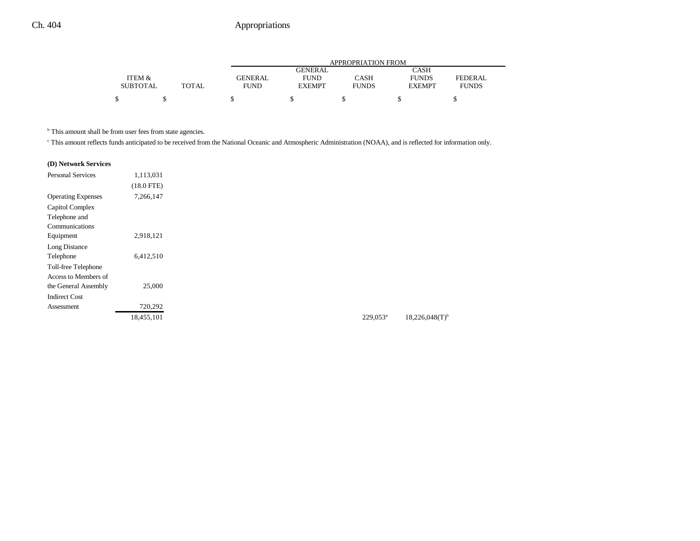|                 |              | APPROPRIATION FROM |                |              |               |                |  |  |  |
|-----------------|--------------|--------------------|----------------|--------------|---------------|----------------|--|--|--|
|                 |              |                    | <b>GENERAL</b> |              | <b>CASH</b>   |                |  |  |  |
| ITEM &          |              | <b>GENERAL</b>     | <b>FUND</b>    | CASH         | <b>FUNDS</b>  | <b>FEDERAL</b> |  |  |  |
| <b>SUBTOTAL</b> | <b>TOTAL</b> | <b>FUND</b>        | <b>EXEMPT</b>  | <b>FUNDS</b> | <b>EXEMPT</b> | <b>FUNDS</b>   |  |  |  |
|                 |              |                    |                |              |               |                |  |  |  |

<sup>b</sup> This amount shall be from user fees from state agencies.

c This amount reflects funds anticipated to be received from the National Oceanic and Atmospheric Administration (NOAA), and is reflected for information only.

| (D) Network Services      |              |
|---------------------------|--------------|
| Personal Services         | 1,113,031    |
|                           | $(18.0$ FTE) |
| <b>Operating Expenses</b> | 7,266,147    |
| Capitol Complex           |              |
| Telephone and             |              |
| Communications            |              |
| Equipment                 | 2,918,121    |
| Long Distance             |              |
| Telephone                 | 6,412,510    |
| Toll-free Telephone       |              |
| Access to Members of      |              |
| the General Assembly      | 25,000       |
| <b>Indirect Cost</b>      |              |
| Assessment                | 720,292      |
|                           | 18,455,101   |
|                           |              |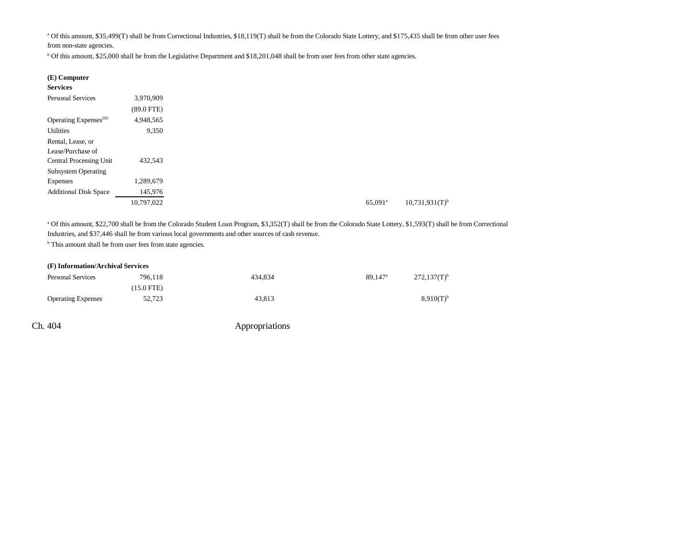<sup>a</sup> Of this amount, \$35,499(T) shall be from Correctional Industries, \$18,119(T) shall be from the Colorado State Lottery, and \$175,435 shall be from other user fees from non-state agencies.

<sup>b</sup> Of this amount, \$25,000 shall be from the Legislative Department and \$18,201,048 shall be from user fees from other state agencies.

| $(E)$ Computer<br><b>Services</b> |              |
|-----------------------------------|--------------|
| <b>Personal Services</b>          | 3,970,909    |
|                                   | $(89.0$ FTE) |
| Operating Expenses <sup>202</sup> | 4,948,565    |
| Utilities                         | 9,350        |
| Rental, Lease, or                 |              |
| Lease/Purchase of                 |              |
| Central Processing Unit           | 432,543      |
| <b>Subsystem Operating</b>        |              |
| Expenses                          | 1,289,679    |
| <b>Additional Disk Space</b>      | 145,976      |
|                                   | 10,797,022   |

a Of this amount, \$22,700 shall be from the Colorado Student Loan Program, \$3,352(T) shall be from the Colorado State Lottery, \$1,593(T) shall be from Correctional Industries, and \$37,446 shall be from various local governments and other sources of cash revenue.

**b** This amount shall be from user fees from state agencies.

| (F) Information/Archival Services |            |         |                  |                           |  |  |  |  |
|-----------------------------------|------------|---------|------------------|---------------------------|--|--|--|--|
| <b>Personal Services</b>          | 796.118    | 434.834 | $89.147^{\circ}$ | $272,137(T)$ <sup>b</sup> |  |  |  |  |
|                                   | (15.0 FTE) |         |                  |                           |  |  |  |  |
| <b>Operating Expenses</b>         | 52.723     | 43,813  |                  | $8.910(T)^{b}$            |  |  |  |  |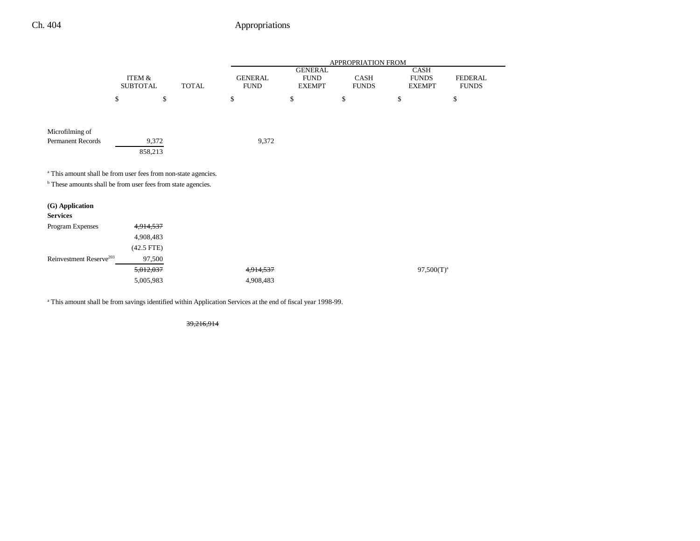|                                                                           |                       |              |                     |                               | APPROPRIATION FROM |                      |                |
|---------------------------------------------------------------------------|-----------------------|--------------|---------------------|-------------------------------|--------------------|----------------------|----------------|
|                                                                           | ITEM &                |              | <b>GENERAL</b>      | <b>GENERAL</b><br><b>FUND</b> | CASH               | CASH<br><b>FUNDS</b> | <b>FEDERAL</b> |
|                                                                           | <b>SUBTOTAL</b>       | <b>TOTAL</b> | <b>FUND</b>         | <b>EXEMPT</b>                 | <b>FUNDS</b>       | <b>EXEMPT</b>        | <b>FUNDS</b>   |
|                                                                           | \$                    | \$           | \$                  | \$                            | \$                 | \$                   | \$             |
|                                                                           |                       |              |                     |                               |                    |                      |                |
| Microfilming of                                                           |                       |              |                     |                               |                    |                      |                |
| <b>Permanent Records</b>                                                  | 9,372                 |              | 9,372               |                               |                    |                      |                |
|                                                                           | 858,213               |              |                     |                               |                    |                      |                |
|                                                                           |                       |              |                     |                               |                    |                      |                |
| <sup>a</sup> This amount shall be from user fees from non-state agencies. |                       |              |                     |                               |                    |                      |                |
| <sup>b</sup> These amounts shall be from user fees from state agencies.   |                       |              |                     |                               |                    |                      |                |
| (G) Application                                                           |                       |              |                     |                               |                    |                      |                |
| <b>Services</b>                                                           |                       |              |                     |                               |                    |                      |                |
| Program Expenses                                                          | 4 <del>,914,537</del> |              |                     |                               |                    |                      |                |
|                                                                           | 4,908,483             |              |                     |                               |                    |                      |                |
|                                                                           | $(42.5$ FTE)          |              |                     |                               |                    |                      |                |
| Reinvestment Reserve <sup>203</sup>                                       | 97,500                |              |                     |                               |                    |                      |                |
|                                                                           | 5,012,037             |              | <del>914.537.</del> |                               |                    | $97,500(T)^a$        |                |
|                                                                           | 5,005,983             |              | 4,908,483           |                               |                    |                      |                |

a This amount shall be from savings identified within Application Services at the end of fiscal year 1998-99.

39,216,914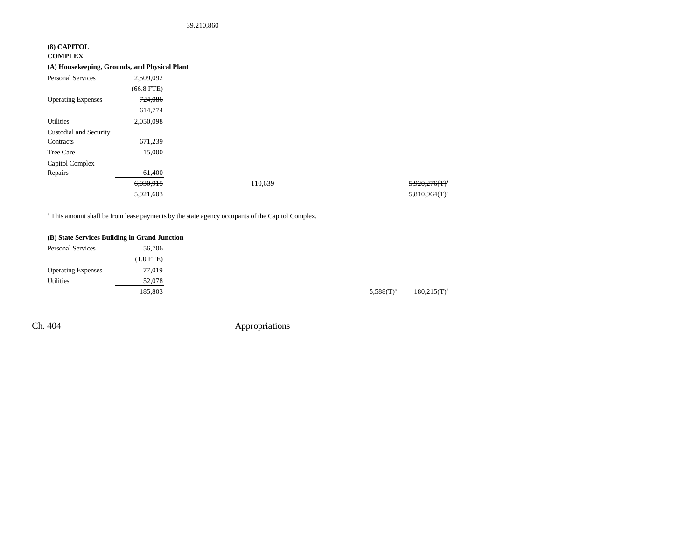### **(8) CAPITOL COMPLEX**

|  |  |  |  | (A) Housekeeping, Grounds, and Physical Plant |
|--|--|--|--|-----------------------------------------------|
|--|--|--|--|-----------------------------------------------|

| <b>Personal Services</b>  | 2,509,092          |         |                              |
|---------------------------|--------------------|---------|------------------------------|
|                           | $(66.8$ FTE)       |         |                              |
| <b>Operating Expenses</b> | <del>724,086</del> |         |                              |
|                           | 614,774            |         |                              |
| Utilities                 | 2,050,098          |         |                              |
| Custodial and Security    |                    |         |                              |
| Contracts                 | 671,239            |         |                              |
| Tree Care                 | 15,000             |         |                              |
| Capitol Complex           |                    |         |                              |
| Repairs                   | 61,400             |         |                              |
|                           | 6,030,915          | 110,639 | $5,920,276$ (T) <sup>*</sup> |
|                           | 5,921,603          |         | $5,810,964(T)^3$             |
|                           |                    |         |                              |

<sup>a</sup> This amount shall be from lease payments by the state agency occupants of the Capitol Complex.

| (B) State Services Building in Grand Junction |  |  |
|-----------------------------------------------|--|--|
|-----------------------------------------------|--|--|

| <b>Personal Services</b>  | 56,706      |    |
|---------------------------|-------------|----|
|                           | $(1.0$ FTE) |    |
| <b>Operating Expenses</b> | 77,019      |    |
| <b>Utilities</b>          | 52,078      |    |
|                           | 185,803     | 5. |

 $180,215(T)^{b}$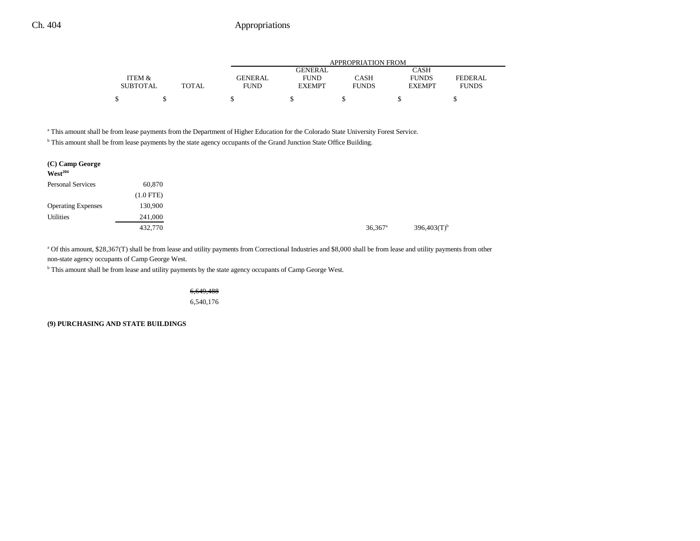|                 |       | APPROPRIATION FROM |                |              |               |              |  |
|-----------------|-------|--------------------|----------------|--------------|---------------|--------------|--|
|                 |       |                    | <b>GENERAL</b> |              | CASH          |              |  |
| ITEM &          |       | <b>GENERAL</b>     | <b>FUND</b>    | CASH         | <b>FUNDS</b>  | FEDERAL      |  |
| <b>SUBTOTAL</b> | TOTAL | <b>FUND</b>        | <b>EXEMPT</b>  | <b>FUNDS</b> | <b>EXEMPT</b> | <b>FUNDS</b> |  |
|                 |       |                    |                |              |               |              |  |
|                 |       |                    |                |              |               |              |  |

a This amount shall be from lease payments from the Department of Higher Education for the Colorado State University Forest Service.

b This amount shall be from lease payments by the state agency occupants of the Grand Junction State Office Building.

| (C) Camp George<br>West <sup>204</sup> |             |
|----------------------------------------|-------------|
| <b>Personal Services</b>               | 60,870      |
|                                        | $(1.0$ FTE) |
| <b>Operating Expenses</b>              | 130,900     |
| <b>Utilities</b>                       | 241,000     |
|                                        | 432,770     |

<sup>a</sup> Of this amount, \$28,367(T) shall be from lease and utility payments from Correctional Industries and \$8,000 shall be from lease and utility payments from other non-state agency occupants of Camp George West.

**b** This amount shall be from lease and utility payments by the state agency occupants of Camp George West.

#### 6,649,488

6,540,176

**(9) PURCHASING AND STATE BUILDINGS**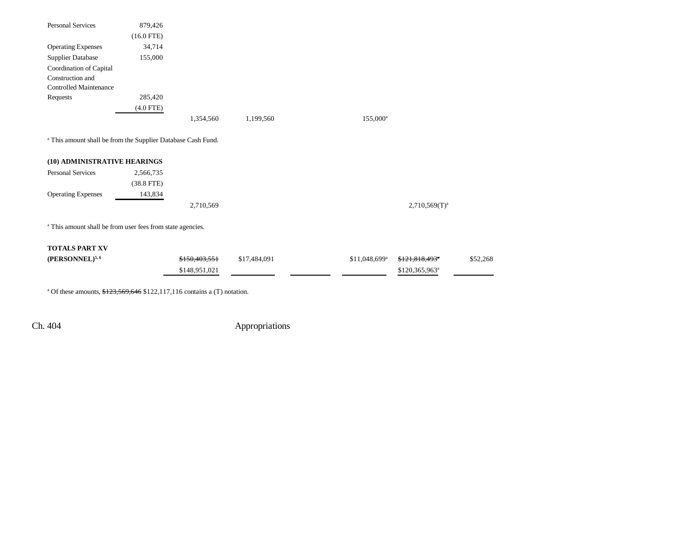| <b>Personal Services</b>                                                                                | 879,426        |               |              |                           |                             |          |
|---------------------------------------------------------------------------------------------------------|----------------|---------------|--------------|---------------------------|-----------------------------|----------|
|                                                                                                         | $(16.0$ FTE)   |               |              |                           |                             |          |
| <b>Operating Expenses</b>                                                                               | 34,714         |               |              |                           |                             |          |
| <b>Supplier Database</b>                                                                                | 155,000        |               |              |                           |                             |          |
| Coordination of Capital                                                                                 |                |               |              |                           |                             |          |
| Construction and                                                                                        |                |               |              |                           |                             |          |
| <b>Controlled Maintenance</b>                                                                           |                |               |              |                           |                             |          |
| Requests                                                                                                | 285,420        |               |              |                           |                             |          |
|                                                                                                         | $(4.0$ FTE $)$ |               |              |                           |                             |          |
|                                                                                                         |                | 1,354,560     | 1,199,560    | $155,000^a$               |                             |          |
| <sup>a</sup> This amount shall be from the Supplier Database Cash Fund.<br>(10) ADMINISTRATIVE HEARINGS |                |               |              |                           |                             |          |
|                                                                                                         |                |               |              |                           |                             |          |
| <b>Personal Services</b>                                                                                | 2,566,735      |               |              |                           |                             |          |
|                                                                                                         | $(38.8$ FTE)   |               |              |                           |                             |          |
| <b>Operating Expenses</b>                                                                               | 143,834        |               |              |                           |                             |          |
|                                                                                                         |                | 2,710,569     |              |                           | $2,710,569(T)^{a}$          |          |
| <sup>a</sup> This amount shall be from user fees from state agencies.                                   |                |               |              |                           |                             |          |
| <b>TOTALS PART XV</b>                                                                                   |                |               |              |                           |                             |          |
| (PERSONNEL)5,6                                                                                          |                | \$150,403,551 | \$17,484,091 | \$11,048,699 <sup>a</sup> | \$121,818,493               | \$52,268 |
|                                                                                                         |                | \$148,951,021 |              |                           | $$120,365,963$ <sup>a</sup> |          |
|                                                                                                         |                |               |              |                           |                             |          |

<sup>a</sup> Of these amounts,  $$123,569,646$  \$122,117,116 contains a (T) notation.

Ch. 404 **Appropriations** 

 $\overline{\phantom{0}}$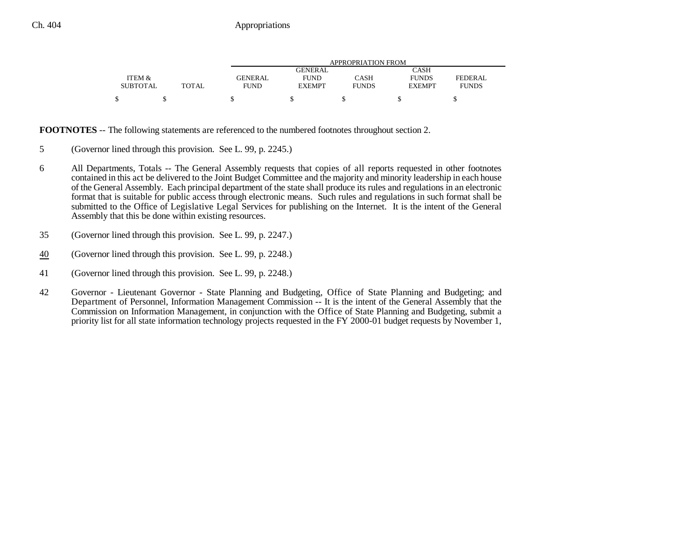|                 |              | APPROPRIATION FROM |               |              |               |              |  |
|-----------------|--------------|--------------------|---------------|--------------|---------------|--------------|--|
|                 |              |                    | GENERAL       |              | CASH          |              |  |
| ITEM &          |              | GENERAL            | <b>FUND</b>   | CASH         | <b>FUNDS</b>  | FEDERAL.     |  |
| <b>SUBTOTAL</b> | <b>TOTAL</b> | <b>FUND</b>        | <b>EXEMPT</b> | <b>FUNDS</b> | <b>EXEMPT</b> | <b>FUNDS</b> |  |
|                 |              |                    |               |              |               |              |  |

**FOOTNOTES** -- The following statements are referenced to the numbered footnotes throughout section 2.

- 5 (Governor lined through this provision. See L. 99, p. 2245.)
- 6 All Departments, Totals -- The General Assembly requests that copies of all reports requested in other footnotes contained in this act be delivered to the Joint Budget Committee and the majority and minority leadership in each house of the General Assembly. Each principal department of the state shall produce its rules and regulations in an electronic format that is suitable for public access through electronic means. Such rules and regulations in such format shall be submitted to the Office of Legislative Legal Services for publishing on the Internet. It is the intent of the General Assembly that this be done within existing resources.
- 35 (Governor lined through this provision. See L. 99, p. 2247.)
- 40(Governor lined through this provision. See L. 99, p. 2248.)
- 41 (Governor lined through this provision. See L. 99, p. 2248.)
- 42 Governor Lieutenant Governor State Planning and Budgeting, Office of State Planning and Budgeting; and Department of Personnel, Information Management Commission -- It is the intent of the General Assembly that the Commission on Information Management, in conjunction with the Office of State Planning and Budgeting, submit a priority list for all state information technology projects requested in the FY 2000-01 budget requests by November 1,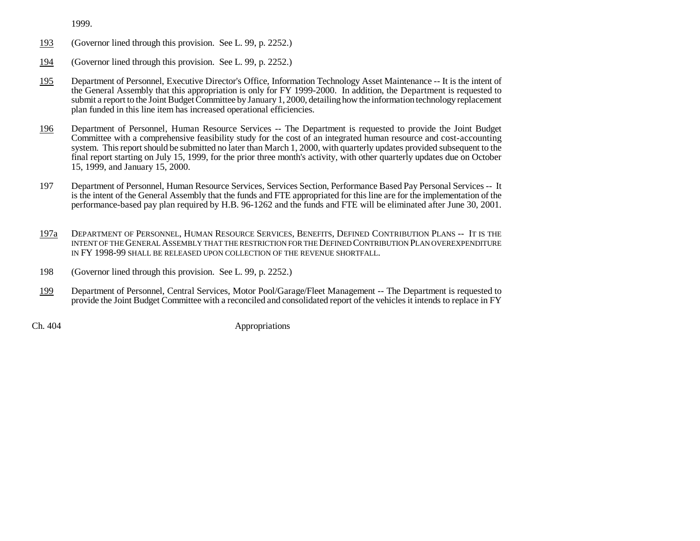1999.

- 193(Governor lined through this provision. See L. 99, p. 2252.)
- 194(Governor lined through this provision. See L. 99, p. 2252.)
- 195 Department of Personnel, Executive Director's Office, Information Technology Asset Maintenance -- It is the intent of the General Assembly that this appropriation is only for FY 1999-2000. In addition, the Department is requested to submit a report to the Joint Budget Committee by January 1, 2000, detailing how the information technology replacement plan funded in this line item has increased operational efficiencies.
- 196 Department of Personnel, Human Resource Services -- The Department is requested to provide the Joint Budget Committee with a comprehensive feasibility study for the cost of an integrated human resource and cost-accounting system. This report should be submitted no later than March 1, 2000, with quarterly updates provided subsequent to the final report starting on July 15, 1999, for the prior three month's activity, with other quarterly updates due on October 15, 1999, and January 15, 2000.
- 197 Department of Personnel, Human Resource Services, Services Section, Performance Based Pay Personal Services -- It is the intent of the General Assembly that the funds and FTE appropriated for this line are for the implementation of the performance-based pay plan required by H.B. 96-1262 and the funds and FTE will be eliminated after June 30, 2001.
- 197a DEPARTMENT OF PERSONNEL, HUMAN RESOURCE SERVICES, BENEFITS, DEFINED CONTRIBUTION PLANS -- IT IS THE INTENT OF THE GENERAL ASSEMBLY THAT THE RESTRICTION FOR THE DEFINED CONTRIBUTION PLAN OVEREXPENDITUREIN FY 1998-99 SHALL BE RELEASED UPON COLLECTION OF THE REVENUE SHORTFALL.
- 198 (Governor lined through this provision. See L. 99, p. 2252.)
- 199 Department of Personnel, Central Services, Motor Pool/Garage/Fleet Management -- The Department is requested to provide the Joint Budget Committee with a reconciled and consolidated report of the vehicles it intends to replace in FY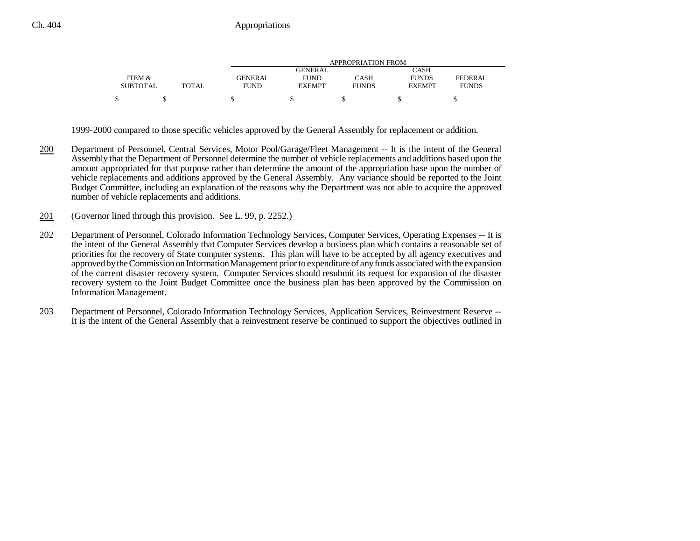|                 |              | APPROPRIATION FROM |               |              |               |              |  |
|-----------------|--------------|--------------------|---------------|--------------|---------------|--------------|--|
|                 |              |                    | GENERAL       |              | CASH          |              |  |
| ITEM &          |              | GENERAL            | <b>FUND</b>   | CASH         | <b>FUNDS</b>  | FEDERAL      |  |
| <b>SUBTOTAL</b> | <b>TOTAL</b> | <b>FUND</b>        | <b>EXEMPT</b> | <b>FUNDS</b> | <b>EXEMPT</b> | <b>FUNDS</b> |  |
|                 |              |                    |               |              |               |              |  |

1999-2000 compared to those specific vehicles approved by the General Assembly for replacement or addition.

- 200 Department of Personnel, Central Services, Motor Pool/Garage/Fleet Management -- It is the intent of the General Assembly that the Department of Personnel determine the number of vehicle replacements and additions based upon the amount appropriated for that purpose rather than determine the amount of the appropriation base upon the number of vehicle replacements and additions approved by the General Assembly. Any variance should be reported to the Joint Budget Committee, including an explanation of the reasons why the Department was not able to acquire the approved number of vehicle replacements and additions.
- 201(Governor lined through this provision. See L. 99, p. 2252.)
- 202 Department of Personnel, Colorado Information Technology Services, Computer Services, Operating Expenses -- It is the intent of the General Assembly that Computer Services develop a business plan which contains a reasonable set of priorities for the recovery of State computer systems. This plan will have to be accepted by all agency executives and approved by the Commission on Information Management prior to expenditure of any funds associated with the expansion of the current disaster recovery system. Computer Services should resubmit its request for expansion of the disaster recovery system to the Joint Budget Committee once the business plan has been approved by the Commission on Information Management.
- 203 Department of Personnel, Colorado Information Technology Services, Application Services, Reinvestment Reserve -- It is the intent of the General Assembly that a reinvestment reserve be continued to support the objectives outlined in